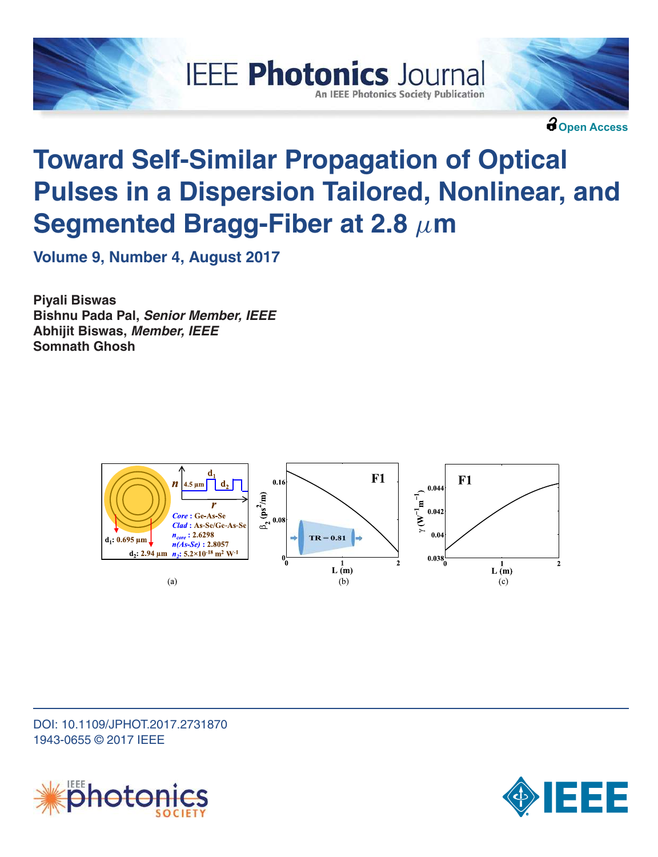

**Open Access**

# **Toward Self-Similar Propagation of Optical Pulses in a Dispersion Tailored, Nonlinear, and Segmented Bragg-Fiber at 2.8**  $\mu$ **m**

**IEEE Photonics Journal** 

**An IEEE Photonics Society Publication** 

**Volume 9, Number 4, August 2017**

**Piyali Biswas Bishnu Pada Pal, Senior Member, IEEE Abhijit Biswas, Member, IEEE Somnath Ghosh**



DOI: 10.1109/JPHOT.2017.2731870 1943-0655 © 2017 IEEE



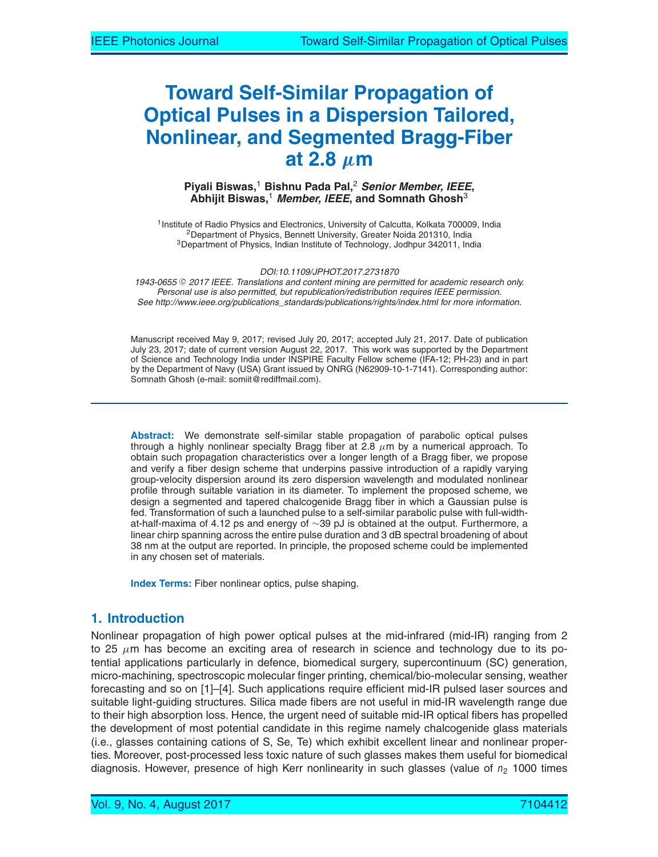# **Toward Self-Similar Propagation of Optical Pulses in a Dispersion Tailored, Nonlinear, and Segmented Bragg-Fiber** at 2.8  $\mu$ m

#### **Piyali Biswas,**<sup>1</sup> **Bishnu Pada Pal,**<sup>2</sup> **Senior Member, IEEE, Abhijit Biswas,**<sup>1</sup> **Member, IEEE, and Somnath Ghosh**<sup>3</sup>

<sup>1</sup> Institute of Radio Physics and Electronics, University of Calcutta, Kolkata 700009, India <sup>2</sup>Department of Physics, Bennett University, Greater Noida 201310, India <sup>3</sup>Department of Physics, Indian Institute of Technology, Jodhpur 342011, India

*DOI:10.1109/JPHOT.2017.2731870*

1943-0655 © 2017 IEEE. Translations and content mining are permitted for academic research only. *Personal use is also permitted, but republication/redistribution requires IEEE permission. See http://www.ieee.org/publications\_standards/publications/rights/index.html for more information.*

Manuscript received May 9, 2017; revised July 20, 2017; accepted July 21, 2017. Date of publication July 23, 2017; date of current version August 22, 2017. This work was supported by the Department of Science and Technology India under INSPIRE Faculty Fellow scheme (IFA-12; PH-23) and in part by the Department of Navy (USA) Grant issued by ONRG (N62909-10-1-7141). Corresponding author: Somnath Ghosh (e-mail: somiit@rediffmail.com).

**Abstract:** We demonstrate self-similar stable propagation of parabolic optical pulses through a highly nonlinear specialty Bragg fiber at 2.8  $\mu$ m by a numerical approach. To obtain such propagation characteristics over a longer length of a Bragg fiber, we propose and verify a fiber design scheme that underpins passive introduction of a rapidly varying group-velocity dispersion around its zero dispersion wavelength and modulated nonlinear profile through suitable variation in its diameter. To implement the proposed scheme, we design a segmented and tapered chalcogenide Bragg fiber in which a Gaussian pulse is fed. Transformation of such a launched pulse to a self-similar parabolic pulse with full-widthat-half-maxima of 4.12 ps and energy of ∼39 pJ is obtained at the output. Furthermore, a linear chirp spanning across the entire pulse duration and 3 dB spectral broadening of about 38 nm at the output are reported. In principle, the proposed scheme could be implemented in any chosen set of materials.

**Index Terms:** Fiber nonlinear optics, pulse shaping.

# **1. Introduction**

Nonlinear propagation of high power optical pulses at the mid-infrared (mid-IR) ranging from 2 to 25  $\mu$ m has become an exciting area of research in science and technology due to its potential applications particularly in defence, biomedical surgery, supercontinuum (SC) generation, micro-machining, spectroscopic molecular finger printing, chemical/bio-molecular sensing, weather forecasting and so on [1]–[4]. Such applications require efficient mid-IR pulsed laser sources and suitable light-guiding structures. Silica made fibers are not useful in mid-IR wavelength range due to their high absorption loss. Hence, the urgent need of suitable mid-IR optical fibers has propelled the development of most potential candidate in this regime namely chalcogenide glass materials (i.e., glasses containing cations of S, Se, Te) which exhibit excellent linear and nonlinear properties. Moreover, post-processed less toxic nature of such glasses makes them useful for biomedical diagnosis. However, presence of high Kerr nonlinearity in such glasses (value of  $n_2$  1000 times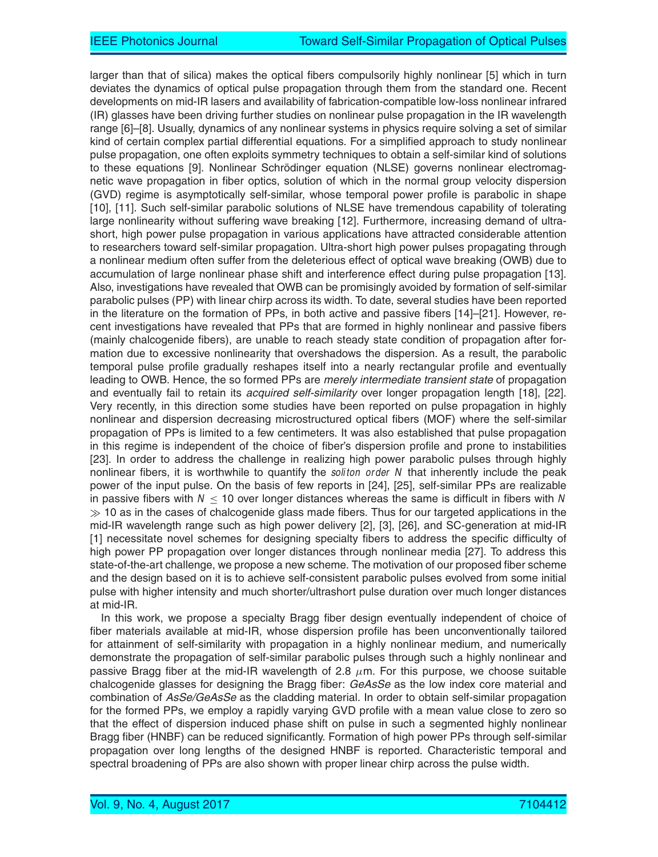larger than that of silica) makes the optical fibers compulsorily highly nonlinear [5] which in turn deviates the dynamics of optical pulse propagation through them from the standard one. Recent developments on mid-IR lasers and availability of fabrication-compatible low-loss nonlinear infrared (IR) glasses have been driving further studies on nonlinear pulse propagation in the IR wavelength range [6]–[8]. Usually, dynamics of any nonlinear systems in physics require solving a set of similar kind of certain complex partial differential equations. For a simplified approach to study nonlinear pulse propagation, one often exploits symmetry techniques to obtain a self-similar kind of solutions to these equations [9]. Nonlinear Schrödinger equation (NLSE) governs nonlinear electromagnetic wave propagation in fiber optics, solution of which in the normal group velocity dispersion (GVD) regime is asymptotically self-similar, whose temporal power profile is parabolic in shape [10], [11]. Such self-similar parabolic solutions of NLSE have tremendous capability of tolerating large nonlinearity without suffering wave breaking [12]. Furthermore, increasing demand of ultrashort, high power pulse propagation in various applications have attracted considerable attention to researchers toward self-similar propagation. Ultra-short high power pulses propagating through a nonlinear medium often suffer from the deleterious effect of optical wave breaking (OWB) due to accumulation of large nonlinear phase shift and interference effect during pulse propagation [13]. Also, investigations have revealed that OWB can be promisingly avoided by formation of self-similar parabolic pulses (PP) with linear chirp across its width. To date, several studies have been reported in the literature on the formation of PPs, in both active and passive fibers [14]–[21]. However, recent investigations have revealed that PPs that are formed in highly nonlinear and passive fibers (mainly chalcogenide fibers), are unable to reach steady state condition of propagation after formation due to excessive nonlinearity that overshadows the dispersion. As a result, the parabolic temporal pulse profile gradually reshapes itself into a nearly rectangular profile and eventually leading to OWB. Hence, the so formed PPs are *merely intermediate transient state* of propagation and eventually fail to retain its *acquired self-similarity* over longer propagation length [18], [22]. Very recently, in this direction some studies have been reported on pulse propagation in highly nonlinear and dispersion decreasing microstructured optical fibers (MOF) where the self-similar propagation of PPs is limited to a few centimeters. It was also established that pulse propagation in this regime is independent of the choice of fiber's dispersion profile and prone to instabilities [23]. In order to address the challenge in realizing high power parabolic pulses through highly nonlinear fibers, it is worthwhile to quantify the *soliton order N* that inherently include the peak power of the input pulse. On the basis of few reports in [24], [25], self-similar PPs are realizable in passive fibers with  $N \leq 10$  over longer distances whereas the same is difficult in fibers with N  $\gg$  10 as in the cases of chalcogenide glass made fibers. Thus for our targeted applications in the mid-IR wavelength range such as high power delivery [2], [3], [26], and SC-generation at mid-IR [1] necessitate novel schemes for designing specialty fibers to address the specific difficulty of high power PP propagation over longer distances through nonlinear media [27]. To address this state-of-the-art challenge, we propose a new scheme. The motivation of our proposed fiber scheme and the design based on it is to achieve self-consistent parabolic pulses evolved from some initial pulse with higher intensity and much shorter/ultrashort pulse duration over much longer distances at mid-IR.

In this work, we propose a specialty Bragg fiber design eventually independent of choice of fiber materials available at mid-IR, whose dispersion profile has been unconventionally tailored for attainment of self-similarity with propagation in a highly nonlinear medium, and numerically demonstrate the propagation of self-similar parabolic pulses through such a highly nonlinear and passive Bragg fiber at the mid-IR wavelength of 2.8  $\mu$ m. For this purpose, we choose suitable chalcogenide glasses for designing the Bragg fiber: *GeAsSe* as the low index core material and combination of *AsSe/GeAsSe* as the cladding material. In order to obtain self-similar propagation for the formed PPs, we employ a rapidly varying GVD profile with a mean value close to zero so that the effect of dispersion induced phase shift on pulse in such a segmented highly nonlinear Bragg fiber (HNBF) can be reduced significantly. Formation of high power PPs through self-similar propagation over long lengths of the designed HNBF is reported. Characteristic temporal and spectral broadening of PPs are also shown with proper linear chirp across the pulse width.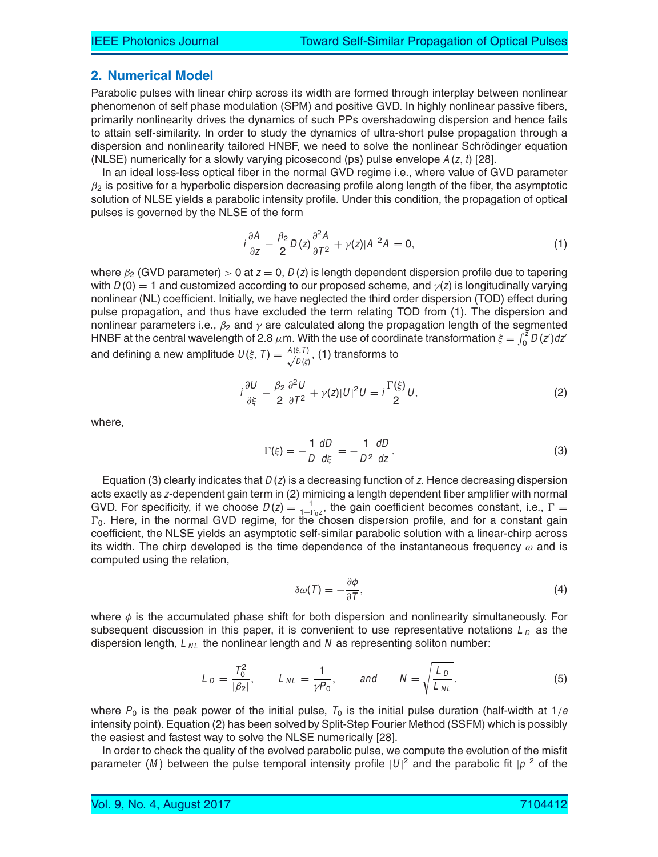#### **2. Numerical Model**

Parabolic pulses with linear chirp across its width are formed through interplay between nonlinear phenomenon of self phase modulation (SPM) and positive GVD. In highly nonlinear passive fibers, primarily nonlinearity drives the dynamics of such PPs overshadowing dispersion and hence fails to attain self-similarity. In order to study the dynamics of ultra-short pulse propagation through a dispersion and nonlinearity tailored HNBF, we need to solve the nonlinear Schrödinger equation (NLSE) numerically for a slowly varying picosecond (ps) pulse envelope  $A(z, t)$  [28].

In an ideal loss-less optical fiber in the normal GVD regime i.e., where value of GVD parameter  $\beta_2$  is positive for a hyperbolic dispersion decreasing profile along length of the fiber, the asymptotic solution of NLSE yields a parabolic intensity profile. Under this condition, the propagation of optical pulses is governed by the NLSE of the form

$$
i\frac{\partial A}{\partial z} - \frac{\beta_2}{2}D(z)\frac{\partial^2 A}{\partial T^2} + \gamma(z)|A|^2 A = 0,
$$
\n(1)

where  $\beta_2$  (GVD parameter) > 0 at z = 0, D(z) is length dependent dispersion profile due to tapering with  $D(0) = 1$  and customized according to our proposed scheme, and  $\gamma(z)$  is longitudinally varying nonlinear (NL) coefficient. Initially, we have neglected the third order dispersion (TOD) effect during pulse propagation, and thus have excluded the term relating TOD from (1). The dispersion and nonlinear parameters i.e.,  $\beta_2$  and  $\gamma$  are calculated along the propagation length of the segmented HNBF at the central wavelength of 2.8  $\mu$ m. With the use of coordinate transformation  $\xi = \int_0^z D(z')dz'$ and defining a new amplitude  $U(\xi, T) = \frac{A(\xi, T)}{\sqrt{D(\xi)}}$  $\frac{\xi,\,I}{D\left( \xi\right) },$  (1) transforms to

$$
i\frac{\partial U}{\partial \xi} - \frac{\beta_2}{2} \frac{\partial^2 U}{\partial T^2} + \gamma(z) |U|^2 U = i \frac{\Gamma(\xi)}{2} U,
$$
 (2)

where,

$$
\Gamma(\xi) = -\frac{1}{D} \frac{dD}{d\xi} = -\frac{1}{D^2} \frac{dD}{dz}.
$$
\n(3)

Equation (3) clearly indicates that  $D(z)$  is a decreasing function of z. Hence decreasing dispersion acts exactly as <sup>z</sup>-dependent gain term in (2) mimicing a length dependent fiber amplifier with normal GVD. For specificity, if we choose  $D(z) = \frac{1}{1+\log z}$ , the gain coefficient becomes constant, i.e.,  $\Gamma = \Gamma$  $\Gamma_0$ . Here, in the normal GVD regime, for the chosen dispersion profile, and for a constant gain coefficient, the NLSE yields an asymptotic self-similar parabolic solution with a linear-chirp across its width. The chirp developed is the time dependence of the instantaneous frequency  $\omega$  and is computed using the relation,

$$
\delta \omega(\mathcal{T}) = -\frac{\partial \phi}{\partial \mathcal{T}},\tag{4}
$$

where  $\phi$  is the accumulated phase shift for both dispersion and nonlinearity simultaneously. For subsequent discussion in this paper, it is convenient to use representative notations  $L_D$  as the dispersion length,  $L_{NL}$  the nonlinear length and N as representing soliton number:

$$
L_D = \frac{T_0^2}{|\beta_2|}, \qquad L_{NL} = \frac{1}{\gamma P_0}, \qquad \text{and} \qquad N = \sqrt{\frac{L_D}{L_{NL}}}.
$$
 (5)

where  $P_0$  is the peak power of the initial pulse,  $T_0$  is the initial pulse duration (half-width at  $1/e$ intensity point). Equation (2) has been solved by Split-Step Fourier Method (SSFM) which is possibly the easiest and fastest way to solve the NLSE numerically [28].

In order to check the quality of the evolved parabolic pulse, we compute the evolution of the misfit parameter (M) between the pulse temporal intensity profile  $|U|^2$  and the parabolic fit  $|p|^2$  of the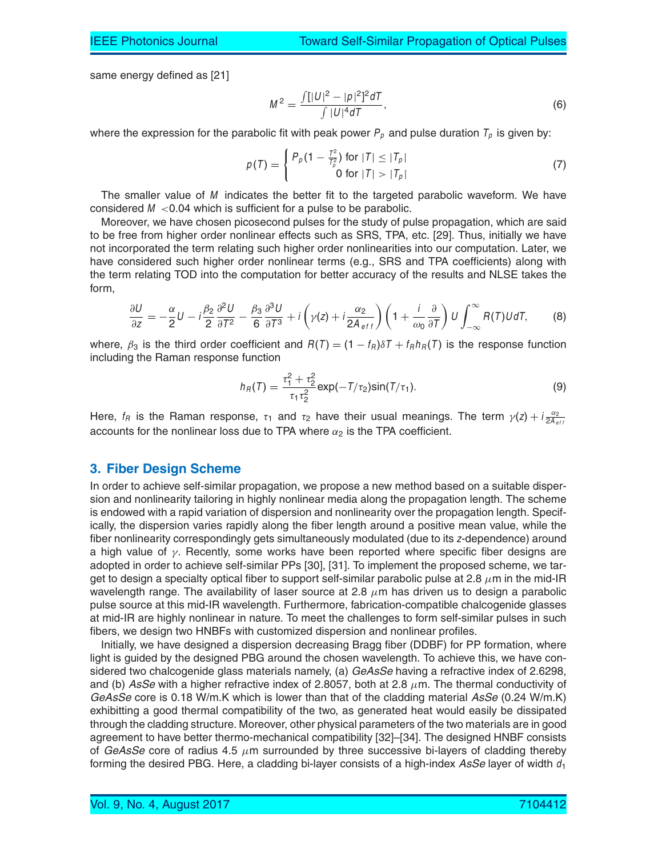same energy defined as [21]

$$
M^{2} = \frac{\int [|U|^{2} - |\rho|^{2}]^{2} dT}{\int |U|^{4} dT},
$$
\n(6)

where the expression for the parabolic fit with peak power  $P_p$  and pulse duration  $T_p$  is given by:

$$
p(T) = \begin{cases} P_p(1 - \frac{T^2}{T_p^2}) & \text{for } |T| \le |T_p| \\ 0 & \text{for } |T| > |T_p| \end{cases}
$$
 (7)

The smaller value of  $M$  indicates the better fit to the targeted parabolic waveform. We have considered  $M < 0.04$  which is sufficient for a pulse to be parabolic.

Moreover, we have chosen picosecond pulses for the study of pulse propagation, which are said to be free from higher order nonlinear effects such as SRS, TPA, etc. [29]. Thus, initially we have not incorporated the term relating such higher order nonlinearities into our computation. Later, we have considered such higher order nonlinear terms (e.g., SRS and TPA coefficients) along with the term relating TOD into the computation for better accuracy of the results and NLSE takes the form,

$$
\frac{\partial U}{\partial z} = -\frac{\alpha}{2}U - i\frac{\beta_2}{2}\frac{\partial^2 U}{\partial T^2} - \frac{\beta_3}{6}\frac{\partial^3 U}{\partial T^3} + i\left(\gamma(z) + i\frac{\alpha_2}{2A_{eff}}\right)\left(1 + \frac{i}{\omega_0}\frac{\partial}{\partial T}\right)U\int_{-\infty}^{\infty}R(T)UdT, \tag{8}
$$

where,  $\beta_3$  is the third order coefficient and  $R(T) = (1 - f_R)\delta T + f_R h_R(T)$  is the response function including the Raman response function

$$
h_R(T) = \frac{\tau_1^2 + \tau_2^2}{\tau_1 \tau_2^2} \exp(-T/\tau_2) \sin(T/\tau_1).
$$
 (9)

Here,  $f_R$  is the Raman response,  $\tau_1$  and  $\tau_2$  have their usual meanings. The term  $\gamma(z) + i \frac{\alpha_2}{2A_{eff}}$ accounts for the nonlinear loss due to TPA where  $\alpha_2$  is the TPA coefficient.

#### **3. Fiber Design Scheme**

In order to achieve self-similar propagation, we propose a new method based on a suitable dispersion and nonlinearity tailoring in highly nonlinear media along the propagation length. The scheme is endowed with a rapid variation of dispersion and nonlinearity over the propagation length. Specifically, the dispersion varies rapidly along the fiber length around a positive mean value, while the fiber nonlinearity correspondingly gets simultaneously modulated (due to its <sup>z</sup>-dependence) around a high value of  $\gamma$ . Recently, some works have been reported where specific fiber designs are adopted in order to achieve self-similar PPs [30], [31]. To implement the proposed scheme, we target to design a specialty optical fiber to support self-similar parabolic pulse at 2.8  $\mu$ m in the mid-IR wavelength range. The availability of laser source at 2.8  $\mu$ m has driven us to design a parabolic pulse source at this mid-IR wavelength. Furthermore, fabrication-compatible chalcogenide glasses at mid-IR are highly nonlinear in nature. To meet the challenges to form self-similar pulses in such fibers, we design two HNBFs with customized dispersion and nonlinear profiles.

Initially, we have designed a dispersion decreasing Bragg fiber (DDBF) for PP formation, where light is guided by the designed PBG around the chosen wavelength. To achieve this, we have considered two chalcogenide glass materials namely, (a) *GeAsSe* having a refractive index of 2.6298, and (b)  $\overline{ASSe}$  with a higher refractive index of 2.8057, both at 2.8  $\mu$ m. The thermal conductivity of *GeAsSe* core is 0.18 W/m.K which is lower than that of the cladding material *AsSe* (0.24 W/m.K) exhibitting a good thermal compatibility of the two, as generated heat would easily be dissipated through the cladding structure. Moreover, other physical parameters of the two materials are in good agreement to have better thermo-mechanical compatibility [32]–[34]. The designed HNBF consists of *GeAsSe* core of radius 4.5  $\mu$ m surrounded by three successive bi-layers of cladding thereby forming the desired PBG. Here, a cladding bi-layer consists of a high-index  $AsSe$  layer of width  $d_1$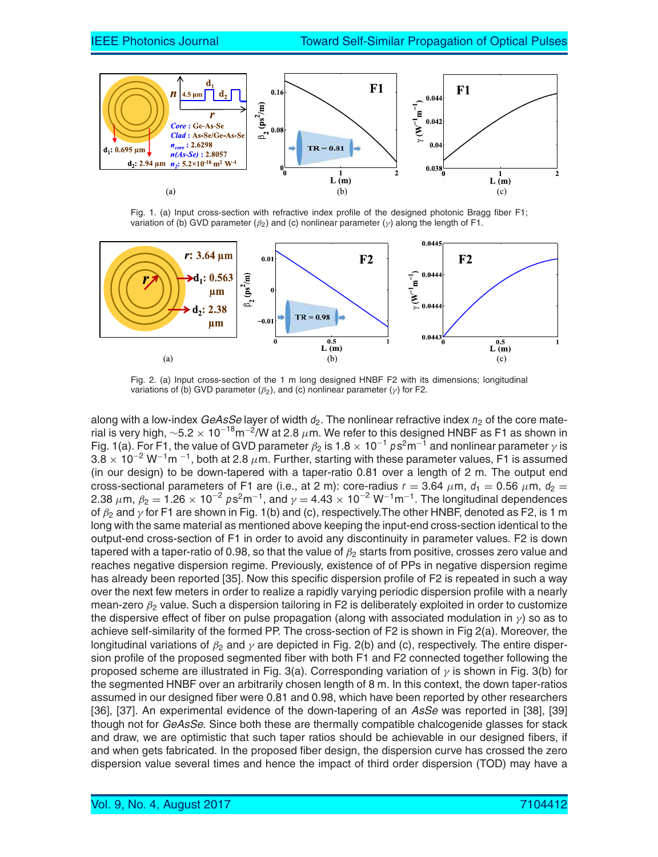

Fig. 1. (a) Input cross-section with refractive index profile of the designed photonic Bragg fiber F1; variation of (b) GVD parameter ( $\beta_2$ ) and (c) nonlinear parameter ( $\gamma$ ) along the length of F1.



Fig. 2. (a) Input cross-section of the 1 m long designed HNBF F2 with its dimensions; longitudinal variations of (b) GVD parameter  $(\beta_2)$ , and (c) nonlinear parameter ( $\gamma$ ) for F2.

along with a low-index *GeAsSe* layer of width  $d_2$ . The nonlinear refractive index  $n_2$  of the core material is very high,  $\sim$ 5.2  $\times$  10<sup>-18</sup>m<sup>-2</sup>/W at 2.8  $\mu$ m. We refer to this designed HNBF as F1 as shown in Fig. 1(a). For F1, the value of GVD parameter  $\beta_2$  is 1.8  $\times$  10<sup>-1</sup>  $p s^2 m^{-1}$  and nonlinear parameter  $\gamma$  is  $3.8 \times 10^{-2}$  W<sup>-1</sup>m<sup>-1</sup>, both at 2.8  $\mu$ m. Further, starting with these parameter values, F1 is assumed (in our design) to be down-tapered with a taper-ratio 0.81 over a length of 2 m. The output end cross-sectional parameters of F1 are (i.e., at 2 m): core-radius  $r = 3.64 \mu m$ ,  $d_1 = 0.56 \mu m$ ,  $d_2 =$ 2.38  $\mu$ m,  $\beta_2 = 1.26 \times 10^{-2} \text{ ps}^2 \text{m}^{-1}$ , and  $\gamma = 4.43 \times 10^{-2} \text{ W}^{-1} \text{m}^{-1}$ . The longitudinal dependences of  $\beta_2$  and  $\gamma$  for F1 are shown in Fig. 1(b) and (c), respectively. The other HNBF, denoted as F2, is 1 m long with the same material as mentioned above keeping the input-end cross-section identical to the output-end cross-section of F1 in order to avoid any discontinuity in parameter values. F2 is down tapered with a taper-ratio of 0.98, so that the value of  $\beta_2$  starts from positive, crosses zero value and reaches negative dispersion regime. Previously, existence of of PPs in negative dispersion regime has already been reported [35]. Now this specific dispersion profile of F2 is repeated in such a way over the next few meters in order to realize a rapidly varying periodic dispersion profile with a nearly mean-zero  $\beta_2$  value. Such a dispersion tailoring in F2 is deliberately exploited in order to customize the dispersive effect of fiber on pulse propagation (along with associated modulation in  $\gamma$ ) so as to achieve self-similarity of the formed PP. The cross-section of F2 is shown in Fig 2(a). Moreover, the longitudinal variations of  $\beta_2$  and  $\gamma$  are depicted in Fig. 2(b) and (c), respectively. The entire dispersion profile of the proposed segmented fiber with both F1 and F2 connected together following the proposed scheme are illustrated in Fig. 3(a). Corresponding variation of  $\gamma$  is shown in Fig. 3(b) for the segmented HNBF over an arbitrarily chosen length of 8 m. In this context, the down taper-ratios assumed in our designed fiber were 0.81 and 0.98, which have been reported by other researchers [36], [37]. An experimental evidence of the down-tapering of an *AsSe* was reported in [38], [39] though not for *GeAsSe*. Since both these are thermally compatible chalcogenide glasses for stack and draw, we are optimistic that such taper ratios should be achievable in our designed fibers, if and when gets fabricated. In the proposed fiber design, the dispersion curve has crossed the zero dispersion value several times and hence the impact of third order dispersion (TOD) may have a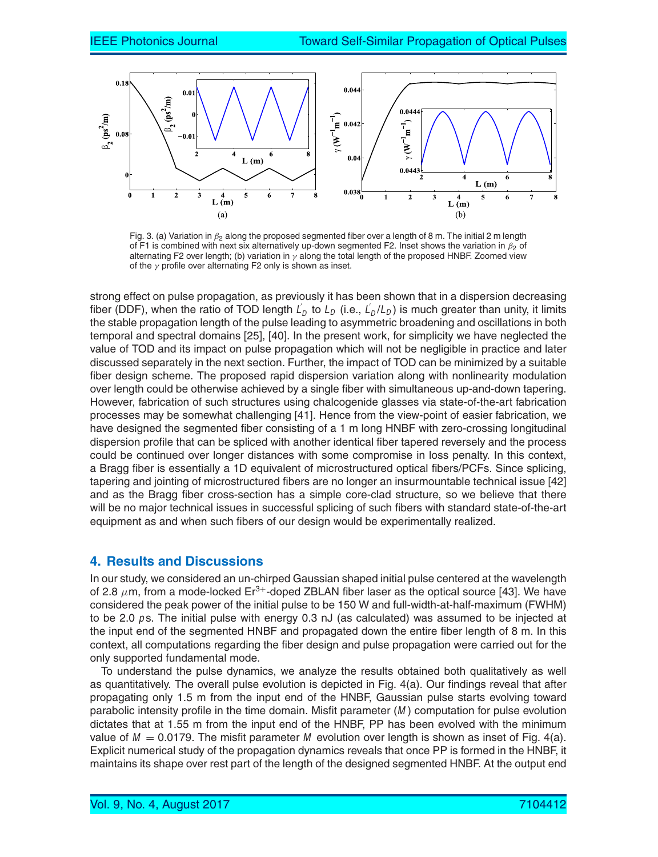

Fig. 3. (a) Variation in  $\beta_2$  along the proposed segmented fiber over a length of 8 m. The initial 2 m length of F1 is combined with next six alternatively up-down segmented F2. Inset shows the variation in  $\beta_2$  of alternating F2 over length; (b) variation in  $\gamma$  along the total length of the proposed HNBF. Zoomed view of the  $\gamma$  profile over alternating F2 only is shown as inset.

strong effect on pulse propagation, as previously it has been shown that in a dispersion decreasing fiber (DDF), when the ratio of TOD length  $L_D$  to  $L_D$  (i.e.,  $L_D/L_D$ ) is much greater than unity, it limits the stable propagation length of the pulse leading to asymmetric broadening and oscillations in both temporal and spectral domains [25], [40]. In the present work, for simplicity we have neglected the value of TOD and its impact on pulse propagation which will not be negligible in practice and later discussed separately in the next section. Further, the impact of TOD can be minimized by a suitable fiber design scheme. The proposed rapid dispersion variation along with nonlinearity modulation over length could be otherwise achieved by a single fiber with simultaneous up-and-down tapering. However, fabrication of such structures using chalcogenide glasses via state-of-the-art fabrication processes may be somewhat challenging [41]. Hence from the view-point of easier fabrication, we have designed the segmented fiber consisting of a 1 m long HNBF with zero-crossing longitudinal dispersion profile that can be spliced with another identical fiber tapered reversely and the process could be continued over longer distances with some compromise in loss penalty. In this context, a Bragg fiber is essentially a 1D equivalent of microstructured optical fibers/PCFs. Since splicing, tapering and jointing of microstructured fibers are no longer an insurmountable technical issue [42] and as the Bragg fiber cross-section has a simple core-clad structure, so we believe that there will be no major technical issues in successful splicing of such fibers with standard state-of-the-art equipment as and when such fibers of our design would be experimentally realized.

### **4. Results and Discussions**

In our study, we considered an un-chirped Gaussian shaped initial pulse centered at the wavelength of 2.8  $\mu$ m, from a mode-locked Er<sup>3+</sup>-doped ZBLAN fiber laser as the optical source [43]. We have considered the peak power of the initial pulse to be 150 W and full-width-at-half-maximum (FWHM) to be 2.0  $p$ s. The initial pulse with energy 0.3 nJ (as calculated) was assumed to be injected at the input end of the segmented HNBF and propagated down the entire fiber length of 8 m. In this context, all computations regarding the fiber design and pulse propagation were carried out for the only supported fundamental mode.

To understand the pulse dynamics, we analyze the results obtained both qualitatively as well as quantitatively. The overall pulse evolution is depicted in Fig. 4(a). Our findings reveal that after propagating only 1.5 m from the input end of the HNBF, Gaussian pulse starts evolving toward parabolic intensity profile in the time domain. Misfit parameter (M ) computation for pulse evolution dictates that at 1.55 m from the input end of the HNBF, PP has been evolved with the minimum value of  $M = 0.0179$ . The misfit parameter M evolution over length is shown as inset of Fig. 4(a). Explicit numerical study of the propagation dynamics reveals that once PP is formed in the HNBF, it maintains its shape over rest part of the length of the designed segmented HNBF. At the output end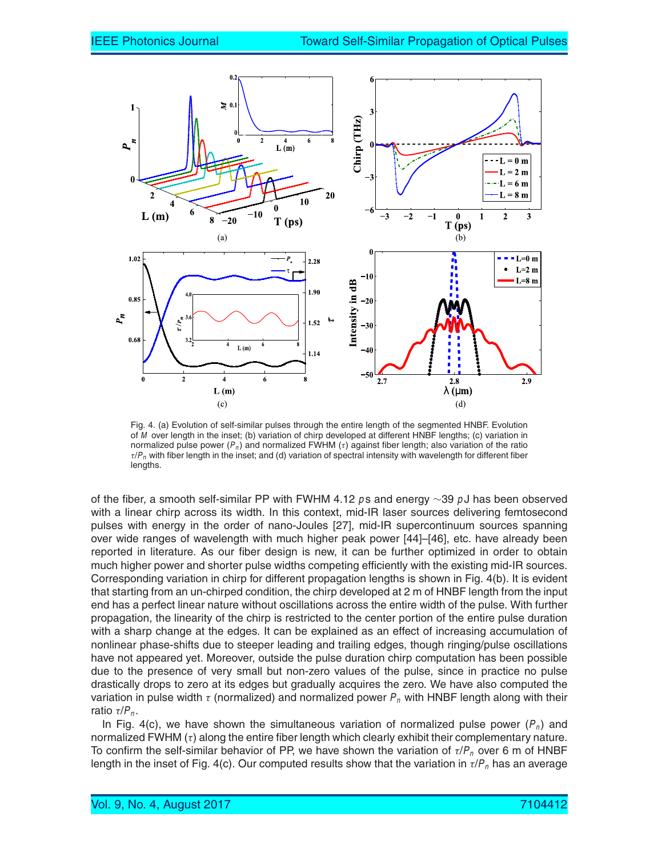

Fig. 4. (a) Evolution of self-similar pulses through the entire length of the segmented HNBF. Evolution of M over length in the inset; (b) variation of chirp developed at different HNBF lengths; (c) variation in normalized pulse power ( $P_n$ ) and normalized FWHM ( $\tau$ ) against fiber length; also variation of the ratio  $\tau/P_n$  with fiber length in the inset; and (d) variation of spectral intensity with wavelength for different fiber lengths.

of the fiber, a smooth self-similar PP with FWHM 4.12 ps and energy  $\sim$ 39 pJ has been observed with a linear chirp across its width. In this context, mid-IR laser sources delivering femtosecond pulses with energy in the order of nano-Joules [27], mid-IR supercontinuum sources spanning over wide ranges of wavelength with much higher peak power [44]–[46], etc. have already been reported in literature. As our fiber design is new, it can be further optimized in order to obtain much higher power and shorter pulse widths competing efficiently with the existing mid-IR sources. Corresponding variation in chirp for different propagation lengths is shown in Fig. 4(b). It is evident that starting from an un-chirped condition, the chirp developed at 2 m of HNBF length from the input end has a perfect linear nature without oscillations across the entire width of the pulse. With further propagation, the linearity of the chirp is restricted to the center portion of the entire pulse duration with a sharp change at the edges. It can be explained as an effect of increasing accumulation of nonlinear phase-shifts due to steeper leading and trailing edges, though ringing/pulse oscillations have not appeared yet. Moreover, outside the pulse duration chirp computation has been possible due to the presence of very small but non-zero values of the pulse, since in practice no pulse drastically drops to zero at its edges but gradually acquires the zero. We have also computed the variation in pulse width  $\tau$  (normalized) and normalized power  $P_n$  with HNBF length along with their ratio  $\tau/P_n$ .

In Fig. 4(c), we have shown the simultaneous variation of normalized pulse power  $(P_n)$  and normalized FWHM  $(τ)$  along the entire fiber length which clearly exhibit their complementary nature. To confirm the self-similar behavior of PP, we have shown the variation of  $\tau/P_n$  over 6 m of HNBF length in the inset of Fig. 4(c). Our computed results show that the variation in  $\tau/P_n$  has an average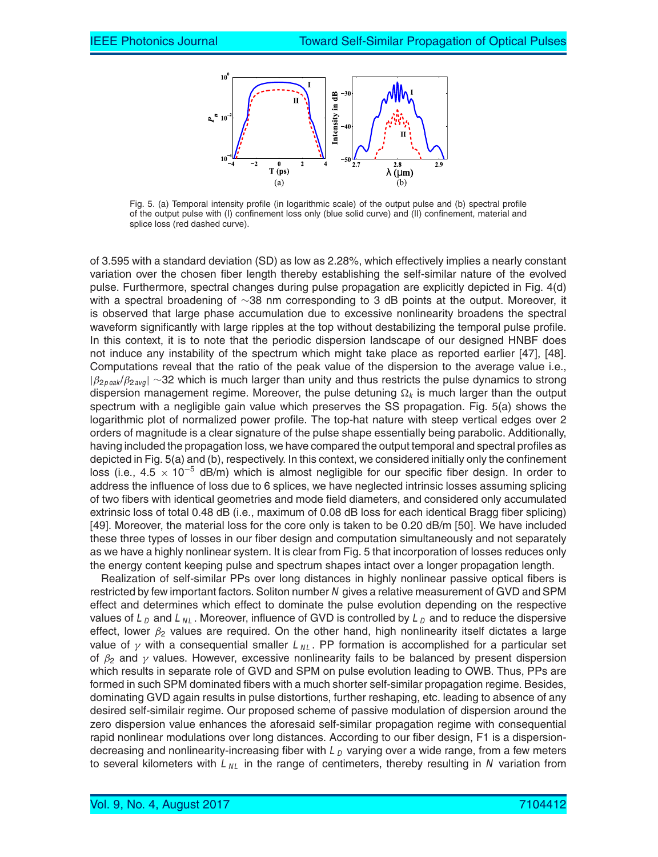

Fig. 5. (a) Temporal intensity profile (in logarithmic scale) of the output pulse and (b) spectral profile of the output pulse with (I) confinement loss only (blue solid curve) and (II) confinement, material and splice loss (red dashed curve).

of 3.595 with a standard deviation (SD) as low as 2.28%, which effectively implies a nearly constant variation over the chosen fiber length thereby establishing the self-similar nature of the evolved pulse. Furthermore, spectral changes during pulse propagation are explicitly depicted in Fig. 4(d) with a spectral broadening of ∼38 nm corresponding to 3 dB points at the output. Moreover, it is observed that large phase accumulation due to excessive nonlinearity broadens the spectral waveform significantly with large ripples at the top without destabilizing the temporal pulse profile. In this context, it is to note that the periodic dispersion landscape of our designed HNBF does not induce any instability of the spectrum which might take place as reported earlier [47], [48]. Computations reveal that the ratio of the peak value of the dispersion to the average value i.e.,  $|\beta_{2\text{peak}}/\beta_{2\text{avg}}| \sim 32$  which is much larger than unity and thus restricts the pulse dynamics to strong dispersion management regime. Moreover, the pulse detuning  $\Omega_k$  is much larger than the output spectrum with a negligible gain value which preserves the SS propagation. Fig. 5(a) shows the logarithmic plot of normalized power profile. The top-hat nature with steep vertical edges over 2 orders of magnitude is a clear signature of the pulse shape essentially being parabolic. Additionally, having included the propagation loss, we have compared the output temporal and spectral profiles as depicted in Fig. 5(a) and (b), respectively. In this context, we considered initially only the confinement loss (i.e.,  $4.5 \times 10^{-5}$  dB/m) which is almost negligible for our specific fiber design. In order to address the influence of loss due to 6 splices, we have neglected intrinsic losses assuming splicing of two fibers with identical geometries and mode field diameters, and considered only accumulated extrinsic loss of total 0.48 dB (i.e., maximum of 0.08 dB loss for each identical Bragg fiber splicing) [49]. Moreover, the material loss for the core only is taken to be 0.20 dB/m [50]. We have included these three types of losses in our fiber design and computation simultaneously and not separately as we have a highly nonlinear system. It is clear from Fig. 5 that incorporation of losses reduces only the energy content keeping pulse and spectrum shapes intact over a longer propagation length.

Realization of self-similar PPs over long distances in highly nonlinear passive optical fibers is restricted by few important factors. Soliton number N gives a relative measurement of GVD and SPM effect and determines which effect to dominate the pulse evolution depending on the respective values of  $L_D$  and  $L_{NL}$ . Moreover, influence of GVD is controlled by  $L_D$  and to reduce the dispersive effect, lower  $\beta_2$  values are required. On the other hand, high nonlinearity itself dictates a large value of  $\gamma$  with a consequential smaller  $L_{NL}$ . PP formation is accomplished for a particular set of  $\beta_2$  and  $\gamma$  values. However, excessive nonlinearity fails to be balanced by present dispersion which results in separate role of GVD and SPM on pulse evolution leading to OWB. Thus, PPs are formed in such SPM dominated fibers with a much shorter self-similar propagation regime. Besides, dominating GVD again results in pulse distortions, further reshaping, etc. leading to absence of any desired self-similair regime. Our proposed scheme of passive modulation of dispersion around the zero dispersion value enhances the aforesaid self-similar propagation regime with consequential rapid nonlinear modulations over long distances. According to our fiber design, F1 is a dispersiondecreasing and nonlinearity-increasing fiber with  $L<sub>D</sub>$  varying over a wide range, from a few meters to several kilometers with  $L_{NL}$  in the range of centimeters, thereby resulting in N variation from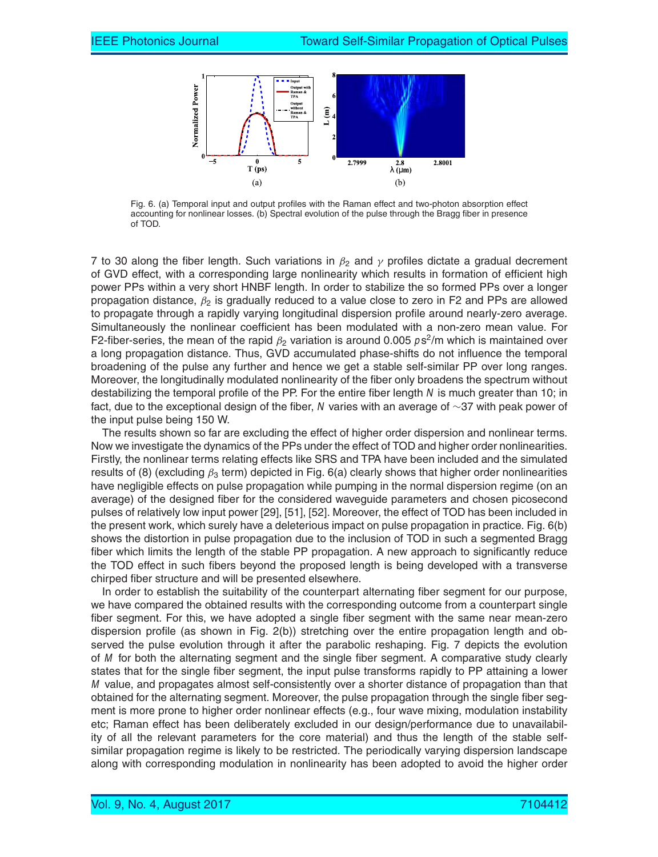

Fig. 6. (a) Temporal input and output profiles with the Raman effect and two-photon absorption effect accounting for nonlinear losses. (b) Spectral evolution of the pulse through the Bragg fiber in presence of TOD.

7 to 30 along the fiber length. Such variations in  $\beta_2$  and  $\gamma$  profiles dictate a gradual decrement of GVD effect, with a corresponding large nonlinearity which results in formation of efficient high power PPs within a very short HNBF length. In order to stabilize the so formed PPs over a longer propagation distance,  $\beta_2$  is gradually reduced to a value close to zero in F2 and PPs are allowed to propagate through a rapidly varying longitudinal dispersion profile around nearly-zero average. Simultaneously the nonlinear coefficient has been modulated with a non-zero mean value. For F2-fiber-series, the mean of the rapid  $\beta_2$  variation is around 0.005  $\rho$ s<sup>2</sup>/m which is maintained over a long propagation distance. Thus, GVD accumulated phase-shifts do not influence the temporal broadening of the pulse any further and hence we get a stable self-similar PP over long ranges. Moreover, the longitudinally modulated nonlinearity of the fiber only broadens the spectrum without destabilizing the temporal profile of the PP. For the entire fiber length N is much greater than 10; in fact, due to the exceptional design of the fiber, <sup>N</sup> varies with an average of ∼37 with peak power of the input pulse being 150 W.

The results shown so far are excluding the effect of higher order dispersion and nonlinear terms. Now we investigate the dynamics of the PPs under the effect of TOD and higher order nonlinearities. Firstly, the nonlinear terms relating effects like SRS and TPA have been included and the simulated results of (8) (excluding  $\beta_3$  term) depicted in Fig. 6(a) clearly shows that higher order nonlinearities have negligible effects on pulse propagation while pumping in the normal dispersion regime (on an average) of the designed fiber for the considered waveguide parameters and chosen picosecond pulses of relatively low input power [29], [51], [52]. Moreover, the effect of TOD has been included in the present work, which surely have a deleterious impact on pulse propagation in practice. Fig. 6(b) shows the distortion in pulse propagation due to the inclusion of TOD in such a segmented Bragg fiber which limits the length of the stable PP propagation. A new approach to significantly reduce the TOD effect in such fibers beyond the proposed length is being developed with a transverse chirped fiber structure and will be presented elsewhere.

In order to establish the suitability of the counterpart alternating fiber segment for our purpose, we have compared the obtained results with the corresponding outcome from a counterpart single fiber segment. For this, we have adopted a single fiber segment with the same near mean-zero dispersion profile (as shown in Fig. 2(b)) stretching over the entire propagation length and observed the pulse evolution through it after the parabolic reshaping. Fig. 7 depicts the evolution of M for both the alternating segment and the single fiber segment. A comparative study clearly states that for the single fiber segment, the input pulse transforms rapidly to PP attaining a lower M value, and propagates almost self-consistently over a shorter distance of propagation than that obtained for the alternating segment. Moreover, the pulse propagation through the single fiber segment is more prone to higher order nonlinear effects (e.g., four wave mixing, modulation instability etc; Raman effect has been deliberately excluded in our design/performance due to unavailability of all the relevant parameters for the core material) and thus the length of the stable selfsimilar propagation regime is likely to be restricted. The periodically varying dispersion landscape along with corresponding modulation in nonlinearity has been adopted to avoid the higher order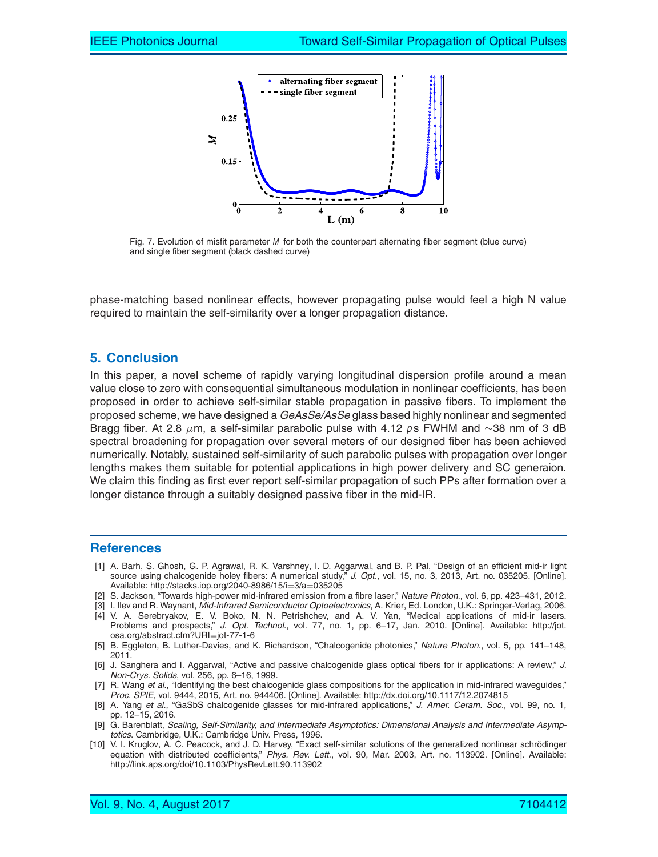

Fig. 7. Evolution of misfit parameter M for both the counterpart alternating fiber segment (blue curve) and single fiber segment (black dashed curve)

phase-matching based nonlinear effects, however propagating pulse would feel a high N value required to maintain the self-similarity over a longer propagation distance.

## **5. Conclusion**

In this paper, a novel scheme of rapidly varying longitudinal dispersion profile around a mean value close to zero with consequential simultaneous modulation in nonlinear coefficients, has been proposed in order to achieve self-similar stable propagation in passive fibers. To implement the proposed scheme, we have designed a *GeAsSe/AsSe* glass based highly nonlinear and segmented Bragg fiber. At 2.8  $\mu$ m, a self-similar parabolic pulse with 4.12 ps FWHM and ∼38 nm of 3 dB spectral broadening for propagation over several meters of our designed fiber has been achieved numerically. Notably, sustained self-similarity of such parabolic pulses with propagation over longer lengths makes them suitable for potential applications in high power delivery and SC generaion. We claim this finding as first ever report self-similar propagation of such PPs after formation over a longer distance through a suitably designed passive fiber in the mid-IR.

#### **References**

- [1] A. Barh, S. Ghosh, G. P. Agrawal, R. K. Varshney, I. D. Aggarwal, and B. P. Pal, "Design of an efficient mid-ir light source using chalcogenide holey fibers: A numerical study," *J. Opt.*, vol. 15, no. 3, 2013, Art. no. 035205. [Online]. Available: http://stacks.iop.org/2040-8986/15/i=3/a=035205
- [2] S. Jackson, "Towards high-power mid-infrared emission from a fibre laser," *Nature Photon.*, vol. 6, pp. 423–431, 2012.
- [3] I. Ilev and R. Waynant, *Mid-Infrared Semiconductor Optoelectronics*, A. Krier, Ed. London, U.K.: Springer-Verlag, 2006.
- [4] V. A. Serebryakov, E. V. Boko, N. N. Petrishchev, and A. V. Yan, "Medical applications of mid-ir lasers. Problems and prospects," *J. Opt. Technol.*, vol. 77, no. 1, pp. 6–17, Jan. 2010. [Online]. Available: http://jot. osa.org/abstract.cfm?URI=jot-77-1-6
- [5] B. Eggleton, B. Luther-Davies, and K. Richardson, "Chalcogenide photonics," *Nature Photon.*, vol. 5, pp. 141–148, 2011.
- [6] J. Sanghera and I. Aggarwal, "Active and passive chalcogenide glass optical fibers for ir applications: A review," *J. Non-Crys. Solids*, vol. 256, pp. 6–16, 1999.
- [7] R. Wang *et al.*, "Identifying the best chalcogenide glass compositions for the application in mid-infrared waveguides," *Proc. SPIE*, vol. 9444, 2015, Art. no. 944406. [Online]. Available: http://dx.doi.org/10.1117/12.2074815
- [8] A. Yang *et al.*, "GaSbS chalcogenide glasses for mid-infrared applications," *J. Amer. Ceram. Soc.*, vol. 99, no. 1, pp. 12–15, 2016.
- [9] G. Barenblatt, Scaling, Self-Similarity, and Intermediate Asymptotics: Dimensional Analysis and Intermediate Asymp*totics*. Cambridge, U.K.: Cambridge Univ. Press, 1996.
- [10] V. I. Kruglov, A. C. Peacock, and J. D. Harvey, "Exact self-similar solutions of the generalized nonlinear schrödinger equation with distributed coefficients," *Phys. Rev. Lett.*, vol. 90, Mar. 2003, Art. no. 113902. [Online]. Available: http://link.aps.org/doi/10.1103/PhysRevLett.90.113902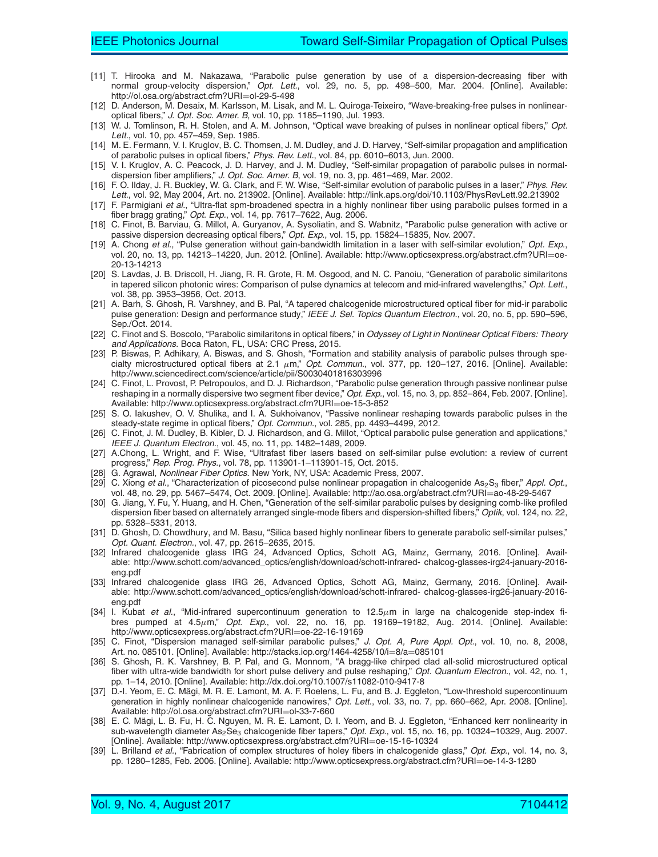- [11] T. Hirooka and M. Nakazawa, "Parabolic pulse generation by use of a dispersion-decreasing fiber with normal group-velocity dispersion," *Opt. Lett.*, vol. 29, no. 5, pp. 498–500, Mar. 2004. [Online]. Available: http://ol.osa.org/abstract.cfm?URI=ol-29-5-498
- [12] D. Anderson, M. Desaix, M. Karlsson, M. Lisak, and M. L. Quiroga-Teixeiro, "Wave-breaking-free pulses in nonlinearoptical fibers," *J. Opt. Soc. Amer. B*, vol. 10, pp. 1185–1190, Jul. 1993.
- [13] W. J. Tomlinson, R. H. Stolen, and A. M. Johnson, "Optical wave breaking of pulses in nonlinear optical fibers," *Opt. Lett.*, vol. 10, pp. 457–459, Sep. 1985.
- [14] M. E. Fermann, V. I. Kruglov, B. C. Thomsen, J. M. Dudley, and J. D. Harvey, "Self-similar propagation and amplification of parabolic pulses in optical fibers," *Phys. Rev. Lett.*, vol. 84, pp. 6010–6013, Jun. 2000.
- [15] V. I. Kruglov, A. C. Peacock, J. D. Harvey, and J. M. Dudley, "Self-similar propagation of parabolic pulses in normaldispersion fiber amplifiers," *J. Opt. Soc. Amer. B*, vol. 19, no. 3, pp. 461–469, Mar. 2002.
- [16] F. O. Ilday, J. R. Buckley, W. G. Clark, and F. W. Wise, "Self-similar evolution of parabolic pulses in a laser," *Phys. Rev. Lett.*, vol. 92, May 2004, Art. no. 213902. [Online]. Available: http://link.aps.org/doi/10.1103/PhysRevLett.92.213902
- [17] F. Parmigiani *et al.*, "Ultra-flat spm-broadened spectra in a highly nonlinear fiber using parabolic pulses formed in a fiber bragg grating," *Opt. Exp.*, vol. 14, pp. 7617–7622, Aug. 2006.
- [18] C. Finot, B. Barviau, G. Millot, A. Guryanov, A. Sysoliatin, and S. Wabnitz, "Parabolic pulse generation with active or passive dispersion decreasing optical fibers," *Opt. Exp.*, vol. 15, pp. 15824–15835, Nov. 2007.
- [19] A. Chong *et al.*, "Pulse generation without gain-bandwidth limitation in a laser with self-similar evolution," *Opt. Exp.*, vol. 20, no. 13, pp. 14213-14220, Jun. 2012. [Online]. Available: http://www.opticsexpress.org/abstract.cfm?URI=oe-20-13-14213
- [20] S. Lavdas, J. B. Driscoll, H. Jiang, R. R. Grote, R. M. Osgood, and N. C. Panoiu, "Generation of parabolic similaritons in tapered silicon photonic wires: Comparison of pulse dynamics at telecom and mid-infrared wavelengths," *Opt. Lett.*, vol. 38, pp. 3953–3956, Oct. 2013.
- [21] A. Barh, S. Ghosh, R. Varshney, and B. Pal, "A tapered chalcogenide microstructured optical fiber for mid-ir parabolic pulse generation: Design and performance study," *IEEE J. Sel. Topics Quantum Electron.*, vol. 20, no. 5, pp. 590–596, Sep./Oct. 2014.
- [22] C. Finot and S. Boscolo, "Parabolic similaritons in optical fibers," in Odyssey of Light in Nonlinear Optical Fibers: Theory *and Applications*. Boca Raton, FL, USA: CRC Press, 2015.
- [23] P. Biswas, P. Adhikary, A. Biswas, and S. Ghosh, "Formation and stability analysis of parabolic pulses through specialty microstructured optical fibers at 2.1 µm," *Opt. Commun.*, vol. 377, pp. 120–127, 2016. [Online]. Available: http://www.sciencedirect.com/science/article/pii/S0030401816303996
- [24] C. Finot, L. Provost, P. Petropoulos, and D. J. Richardson, "Parabolic pulse generation through passive nonlinear pulse reshaping in a normally dispersive two segment fiber device," *Opt. Exp.*, vol. 15, no. 3, pp. 852–864, Feb. 2007. [Online]. Available: http://www.opticsexpress.org/abstract.cfm?URI=oe-15-3-852
- [25] S. O. Iakushev, O. V. Shulika, and I. A. Sukhoivanov, "Passive nonlinear reshaping towards parabolic pulses in the steady-state regime in optical fibers," *Opt. Commun.*, vol. 285, pp. 4493–4499, 2012.
- [26] C. Finot, J. M. Dudley, B. Kibler, D. J. Richardson, and G. Millot, "Optical parabolic pulse generation and applications," *IEEE J. Quantum Electron.*, vol. 45, no. 11, pp. 1482–1489, 2009.
- [27] A.Chong, L. Wright, and F. Wise, "Ultrafast fiber lasers based on self-similar pulse evolution: a review of current progress," *Rep. Prog. Phys.*, vol. 78, pp. 113901-1–113901-15, Oct. 2015.
- [28] G. Agrawal, *Nonlinear Fiber Optics*. New York, NY, USA: Academic Press, 2007.
- [29] C. Xiong *et al.*, "Characterization of picosecond pulse nonlinear propagation in chalcogenide As<sub>2</sub>S<sub>3</sub> fiber," *Appl. Opt.*, vol. 48, no. 29, pp. 5467–5474, Oct. 2009. [Online]. Available: http://ao.osa.org/abstract.cfm?URI=ao-48-29-5467
- [30] G. Jiang, Y. Fu, Y. Huang, and H. Chen, "Generation of the self-similar parabolic pulses by designing comb-like profiled dispersion fiber based on alternately arranged single-mode fibers and dispersion-shifted fibers," *Optik*, vol. 124, no. 22, pp. 5328–5331, 2013.
- [31] D. Ghosh, D. Chowdhury, and M. Basu, "Silica based highly nonlinear fibers to generate parabolic self-similar pulses," *Opt. Quant. Electron.*, vol. 47, pp. 2615–2635, 2015.
- [32] Infrared chalcogenide glass IRG 24, Advanced Optics, Schott AG, Mainz, Germany, 2016. [Online]. Available: http://www.schott.com/advanced\_optics/english/download/schott-infrared- chalcog-glasses-irg24-january-2016 eng.pdf
- [33] Infrared chalcogenide glass IRG 26, Advanced Optics, Schott AG, Mainz, Germany, 2016. [Online]. Available: http://www.schott.com/advanced\_optics/english/download/schott-infrared- chalcog-glasses-irg26-january-2016 eng.pdf
- [34] I. Kubat *et al.*, "Mid-infrared supercontinuum generation to 12.5µm in large na chalcogenide step-index fibres pumped at 4.5µm," *Opt. Exp.*, vol. 22, no. 16, pp. 19169–19182, Aug. 2014. [Online]. Available: http://www.opticsexpress.org/abstract.cfm?URI=oe-22-16-19169
- [35] C. Finot, "Dispersion managed self-similar parabolic pulses," *J. Opt. A, Pure Appl. Opt.*, vol. 10, no. 8, 2008, Art. no. 085101. [Online]. Available: http://stacks.iop.org/1464-4258/10/i=8/a=085101
- [36] S. Ghosh, R. K. Varshney, B. P. Pal, and G. Monnom, "A bragg-like chirped clad all-solid microstructured optical fiber with ultra-wide bandwidth for short pulse delivery and pulse reshaping," *Opt. Quantum Electron.*, vol. 42, no. 1, pp. 1–14, 2010. [Online]. Available: http://dx.doi.org/10.1007/s11082-010-9417-8
- [37] D.-I. Yeom, E. C. Mägi, M. R. E. Lamont, M. A. F. Roelens, L. Fu, and B. J. Eggleton, "Low-threshold supercontinuum generation in highly nonlinear chalcogenide nanowires," *Opt. Lett.*, vol. 33, no. 7, pp. 660–662, Apr. 2008. [Online]. Available: http://ol.osa.org/abstract.cfm?URI=ol-33-7-660
- [38] E. C. Mägi, L. B. Fu, H. C. Nguyen, M. R. E. Lamont, D. I. Yeom, and B. J. Eggleton, "Enhanced kerr nonlinearity in sub-wavelength diameter As<sub>2</sub>Se<sub>3</sub> chalcogenide fiber tapers," *Opt. Exp.*, vol. 15, no. 16, pp. 10324–10329, Aug. 2007. [Online]. Available: http://www.opticsexpress.org/abstract.cfm?URI=oe-15-16-10324
- [39] L. Brilland *et al.*, "Fabrication of complex structures of holey fibers in chalcogenide glass," *Opt. Exp.*, vol. 14, no. 3, pp. 1280–1285, Feb. 2006. [Online]. Available: http://www.opticsexpress.org/abstract.cfm?URI=oe-14-3-1280